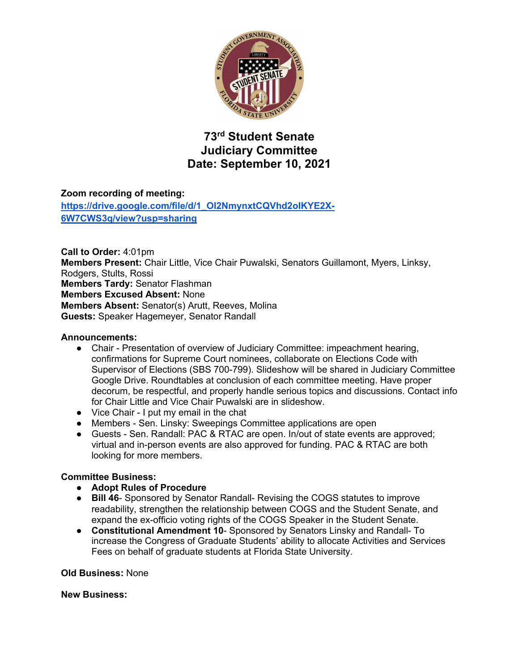

# **73rd Student Senate Judiciary Committee Date: September 10, 2021**

## **Zoom recording of meeting:**

**https://drive.google.com/file/d/1\_OI2NmynxtCQVhd2olKYE2X-6W7CWS3q/view?usp=sharing**

**Call to Order:** 4:01pm **Members Present:** Chair Little, Vice Chair Puwalski, Senators Guillamont, Myers, Linksy, Rodgers, Stults, Rossi **Members Tardy:** Senator Flashman **Members Excused Absent:** None **Members Absent:** Senator(s) Arutt, Reeves, Molina **Guests:** Speaker Hagemeyer, Senator Randall

#### **Announcements:**

- Chair Presentation of overview of Judiciary Committee: impeachment hearing, confirmations for Supreme Court nominees, collaborate on Elections Code with Supervisor of Elections (SBS 700-799). Slideshow will be shared in Judiciary Committee Google Drive. Roundtables at conclusion of each committee meeting. Have proper decorum, be respectful, and properly handle serious topics and discussions. Contact info for Chair Little and Vice Chair Puwalski are in slideshow.
- Vice Chair I put my email in the chat
- Members Sen. Linsky: Sweepings Committee applications are open
- Guests Sen. Randall: PAC & RTAC are open. In/out of state events are approved; virtual and in-person events are also approved for funding. PAC & RTAC are both looking for more members.

### **Committee Business:**

- **Adopt Rules of Procedure**
- **Bill 46** Sponsored by Senator Randall- Revising the COGS statutes to improve readability, strengthen the relationship between COGS and the Student Senate, and expand the ex-officio voting rights of the COGS Speaker in the Student Senate.
- **Constitutional Amendment 10** Sponsored by Senators Linsky and Randall- To increase the Congress of Graduate Students' ability to allocate Activities and Services Fees on behalf of graduate students at Florida State University.

#### **Old Business:** None

### **New Business:**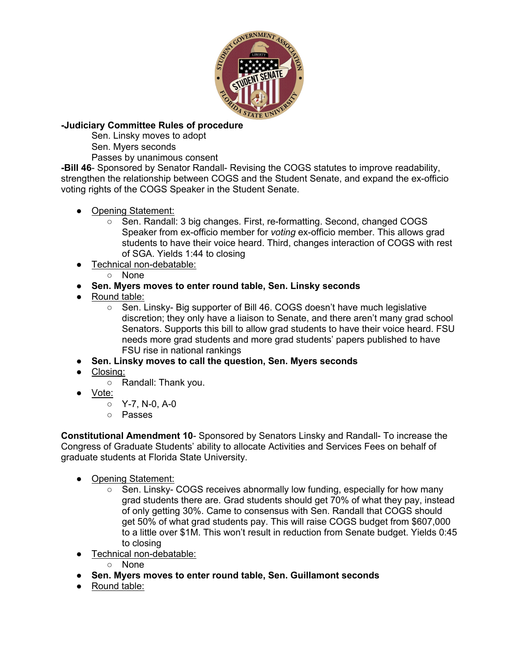

## **-Judiciary Committee Rules of procedure**

Sen. Linsky moves to adopt

Sen. Myers seconds

Passes by unanimous consent

**-Bill 46**- Sponsored by Senator Randall- Revising the COGS statutes to improve readability, strengthen the relationship between COGS and the Student Senate, and expand the ex-officio voting rights of the COGS Speaker in the Student Senate.

- Opening Statement:
	- Sen. Randall: 3 big changes. First, re-formatting. Second, changed COGS Speaker from ex-officio member for *voting* ex-officio member. This allows grad students to have their voice heard. Third, changes interaction of COGS with rest of SGA. Yields 1:44 to closing
- Technical non-debatable:
	- None
- **Sen. Myers moves to enter round table, Sen. Linsky seconds**
- Round table:
	- Sen. Linsky- Big supporter of Bill 46. COGS doesn't have much legislative discretion; they only have a liaison to Senate, and there aren't many grad school Senators. Supports this bill to allow grad students to have their voice heard. FSU needs more grad students and more grad students' papers published to have FSU rise in national rankings
- **Sen. Linsky moves to call the question, Sen. Myers seconds**
- Closing:
	- Randall: Thank you.
- Vote:
	- $\circ$  Y-7, N-0, A-0
	- Passes

**Constitutional Amendment 10**- Sponsored by Senators Linsky and Randall- To increase the Congress of Graduate Students' ability to allocate Activities and Services Fees on behalf of graduate students at Florida State University.

- Opening Statement:
	- Sen. Linsky- COGS receives abnormally low funding, especially for how many grad students there are. Grad students should get 70% of what they pay, instead of only getting 30%. Came to consensus with Sen. Randall that COGS should get 50% of what grad students pay. This will raise COGS budget from \$607,000 to a little over \$1M. This won't result in reduction from Senate budget. Yields 0:45 to closing
- Technical non-debatable:
	- None
- **Sen. Myers moves to enter round table, Sen. Guillamont seconds**
- Round table: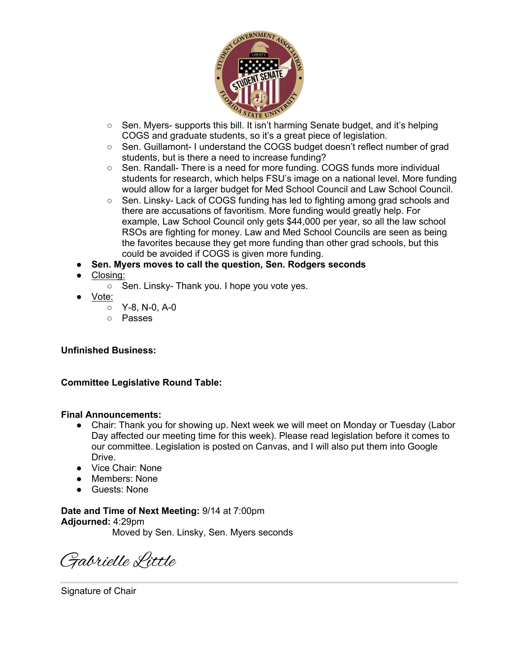

- Sen. Myers- supports this bill. It isn't harming Senate budget, and it's helping COGS and graduate students, so it's a great piece of legislation.
- Sen. Guillamont- I understand the COGS budget doesn't reflect number of grad students, but is there a need to increase funding?
- Sen. Randall- There is a need for more funding. COGS funds more individual students for research, which helps FSU's image on a national level. More funding would allow for a larger budget for Med School Council and Law School Council.
- Sen. Linsky- Lack of COGS funding has led to fighting among grad schools and there are accusations of favoritism. More funding would greatly help. For example, Law School Council only gets \$44,000 per year, so all the law school RSOs are fighting for money. Law and Med School Councils are seen as being the favorites because they get more funding than other grad schools, but this could be avoided if COGS is given more funding.
- **Sen. Myers moves to call the question, Sen. Rodgers seconds**
- Closing:
	- Sen. Linsky- Thank you. I hope you vote yes.
- Vote:
	- Y-8, N-0, A-0
	- Passes

### **Unfinished Business:**

### **Committee Legislative Round Table:**

### **Final Announcements:**

- Chair: Thank you for showing up. Next week we will meet on Monday or Tuesday (Labor Day affected our meeting time for this week). Please read legislation before it comes to our committee. Legislation is posted on Canvas, and I will also put them into Google Drive.
- Vice Chair: None
- Members: None
- Guests: None

**Date and Time of Next Meeting:** 9/14 at 7:00pm **Adjourned:** 4:29pm Moved by Sen. Linsky, Sen. Myers seconds

Gabrielle Little

Signature of Chair